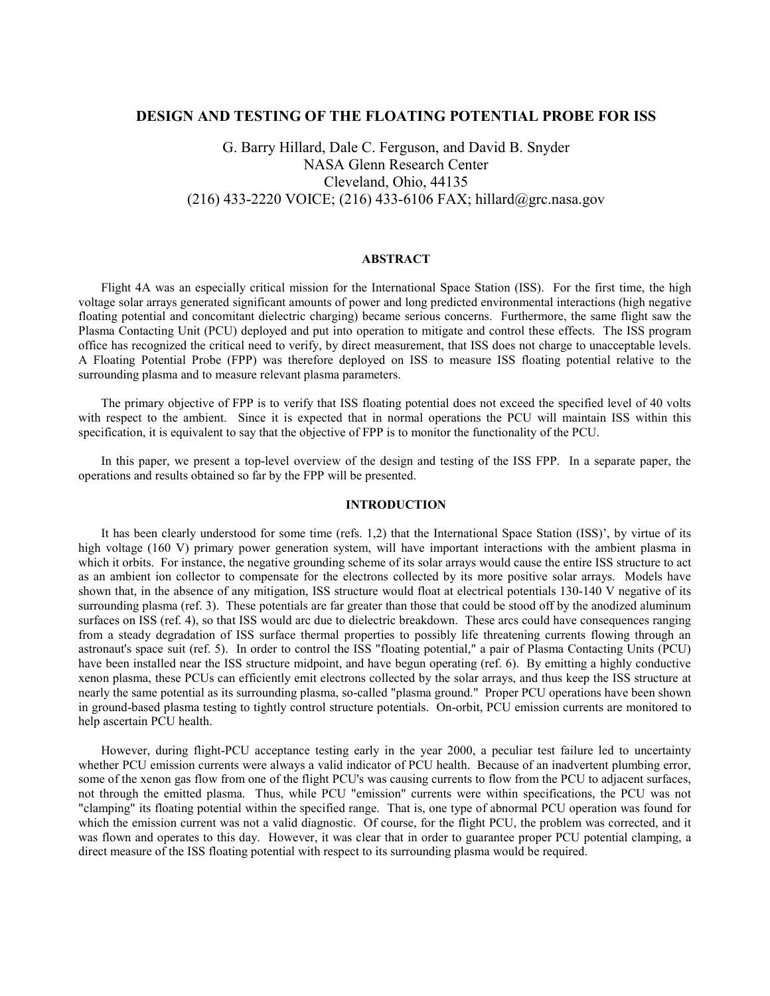## **DESIGN AND TESTING OF THE FLOATING POTENTIAL PROBE FOR ISS**

## G. Barry Hillard, Dale C. Ferguson, and David B. Snyder NASA Glenn Research Center Cleveland, Ohio, 44135 (216) 433-2220 VOICE; (216) 433-6106 FAX; hillard@grc.nasa.gov

## **ABSTRACT**

Flight 4A was an especially critical mission for the International Space Station (ISS). For the first time, the high voltage solar arrays generated significant amounts of power and long predicted environmental interactions (high negative floating potential and concomitant dielectric charging) became serious concerns. Furthermore, the same flight saw the Plasma Contacting Unit (PCU) deployed and put into operation to mitigate and control these effects. The ISS program office has recognized the critical need to verify, by direct measurement, that ISS does not charge to unacceptable levels. A Floating Potential Probe (FPP) was therefore deployed on ISS to measure ISS floating potential relative to the surrounding plasma and to measure relevant plasma parameters.

The primary objective of FPP is to verify that ISS floating potential does not exceed the specified level of 40 volts with respect to the ambient. Since it is expected that in normal operations the PCU will maintain ISS within this specification, it is equivalent to say that the objective of FPP is to monitor the functionality of the PCU.

In this paper, we present a top-level overview of the design and testing of the ISS FPP. In a separate paper, the operations and results obtained so far by the FPP will be presented.

## **INTRODUCTION**

It has been clearly understood for some time (refs. 1,2) that the International Space Station (ISS)', by virtue of its high voltage (160 V) primary power generation system, will have important interactions with the ambient plasma in which it orbits. For instance, the negative grounding scheme of its solar arrays would cause the entire ISS structure to act as an ambient ion collector to compensate for the electrons collected by its more positive solar arrays. Models have shown that, in the absence of any mitigation, ISS structure would float at electrical potentials 130-140 V negative of its surrounding plasma (ref. 3). These potentials are far greater than those that could be stood off by the anodized aluminum surfaces on ISS (ref. 4), so that ISS would arc due to dielectric breakdown. These arcs could have consequences ranging from a steady degradation of ISS surface thermal properties to possibly life threatening currents flowing through an astronaut's space suit (ref. 5). In order to control the ISS "floating potential," a pair of Plasma Contacting Units (PCU) have been installed near the ISS structure midpoint, and have begun operating (ref. 6). By emitting a highly conductive xenon plasma, these PCUs can efficiently emit electrons collected by the solar arrays, and thus keep the ISS structure at nearly the same potential as its surrounding plasma, so-called "plasma ground." Proper PCU operations have been shown in ground-based plasma testing to tightly control structure potentials. On-orbit, PCU emission currents are monitored to help ascertain PCU health.

However, during flight-PCU acceptance testing early in the year 2000, a peculiar test failure led to uncertainty whether PCU emission currents were always a valid indicator of PCU health. Because of an inadvertent plumbing error, some of the xenon gas flow from one of the flight PCU's was causing currents to flow from the PCU to adjacent surfaces, not through the emitted plasma. Thus, while PCU "emission" currents were within specifications, the PCU was not "clamping" its floating potential within the specified range. That is, one type of abnormal PCU operation was found for which the emission current was not a valid diagnostic. Of course, for the flight PCU, the problem was corrected, and it was flown and operates to this day. However, it was clear that in order to guarantee proper PCU potential clamping, a direct measure of the ISS floating potential with respect to its surrounding plasma would be required.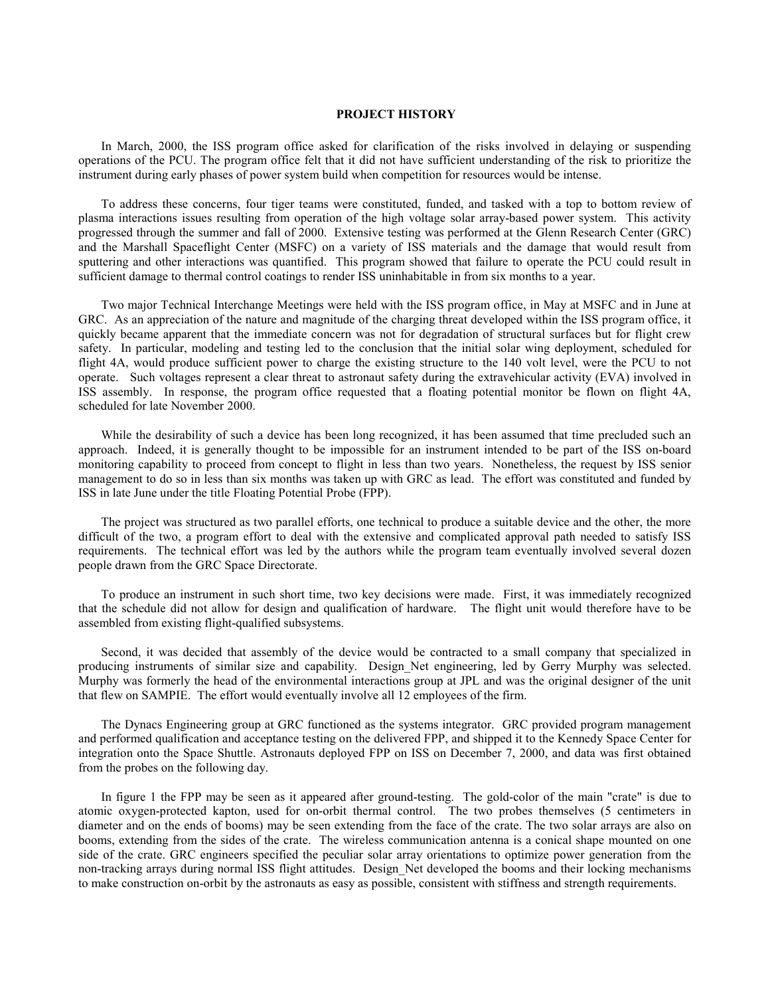### **PROJECT HISTORY**

In March, 2000, the ISS program office asked for clarification of the risks involved in delaying or suspending operations of the PCU. The program office felt that it did not have sufficient understanding of the risk to prioritize the instrument during early phases of power system build when competition for resources would be intense.

To address these concerns, four tiger teams were constituted, funded, and tasked with a top to bottom review of plasma interactions issues resulting from operation of the high voltage solar array-based power system. This activity progressed through the summer and fall of 2000. Extensive testing was performed at the Glenn Research Center (GRC) and the Marshall Spaceflight Center (MSFC) on a variety of ISS materials and the damage that would result from sputtering and other interactions was quantified. This program showed that failure to operate the PCU could result in sufficient damage to thermal control coatings to render ISS uninhabitable in from six months to a year.

Two major Technical Interchange Meetings were held with the ISS program office, in May at MSFC and in June at GRC. As an appreciation of the nature and magnitude of the charging threat developed within the ISS program office, it quickly became apparent that the immediate concern was not for degradation of structural surfaces but for flight crew safety. In particular, modeling and testing led to the conclusion that the initial solar wing deployment, scheduled for flight 4A, would produce sufficient power to charge the existing structure to the 140 volt level, were the PCU to not operate. Such voltages represent a clear threat to astronaut safety during the extravehicular activity (EVA) involved in ISS assembly. In response, the program office requested that a floating potential monitor be flown on flight 4A, scheduled for late November 2000.

While the desirability of such a device has been long recognized, it has been assumed that time precluded such an approach. Indeed, it is generally thought to be impossible for an instrument intended to be part of the ISS on-board monitoring capability to proceed from concept to flight in less than two years. Nonetheless, the request by ISS senior management to do so in less than six months was taken up with GRC as lead. The effort was constituted and funded by ISS in late June under the title Floating Potential Probe (FPP).

The project was structured as two parallel efforts, one technical to produce a suitable device and the other, the more difficult of the two, a program effort to deal with the extensive and complicated approval path needed to satisfy ISS requirements. The technical effort was led by the authors while the program team eventually involved several dozen people drawn from the GRC Space Directorate.

To produce an instrument in such short time, two key decisions were made. First, it was immediately recognized that the schedule did not allow for design and qualification of hardware. The flight unit would therefore have to be assembled from existing flight-qualified subsystems.

Second, it was decided that assembly of the device would be contracted to a small company that specialized in producing instruments of similar size and capability. Design\_Net engineering, led by Gerry Murphy was selected. Murphy was formerly the head of the environmental interactions group at JPL and was the original designer of the unit that flew on SAMPIE. The effort would eventually involve all 12 employees of the firm.

The Dynacs Engineering group at GRC functioned as the systems integrator. GRC provided program management and performed qualification and acceptance testing on the delivered FPP, and shipped it to the Kennedy Space Center for integration onto the Space Shuttle. Astronauts deployed FPP on ISS on December 7, 2000, and data was first obtained from the probes on the following day.

In figure 1 the FPP may be seen as it appeared after ground-testing. The gold-color of the main "crate" is due to atomic oxygen-protected kapton, used for on-orbit thermal control. The two probes themselves (5 centimeters in diameter and on the ends of booms) may be seen extending from the face of the crate. The two solar arrays are also on booms, extending from the sides of the crate. The wireless communication antenna is a conical shape mounted on one side of the crate. GRC engineers specified the peculiar solar array orientations to optimize power generation from the non-tracking arrays during normal ISS flight attitudes. Design\_Net developed the booms and their locking mechanisms to make construction on-orbit by the astronauts as easy as possible, consistent with stiffness and strength requirements.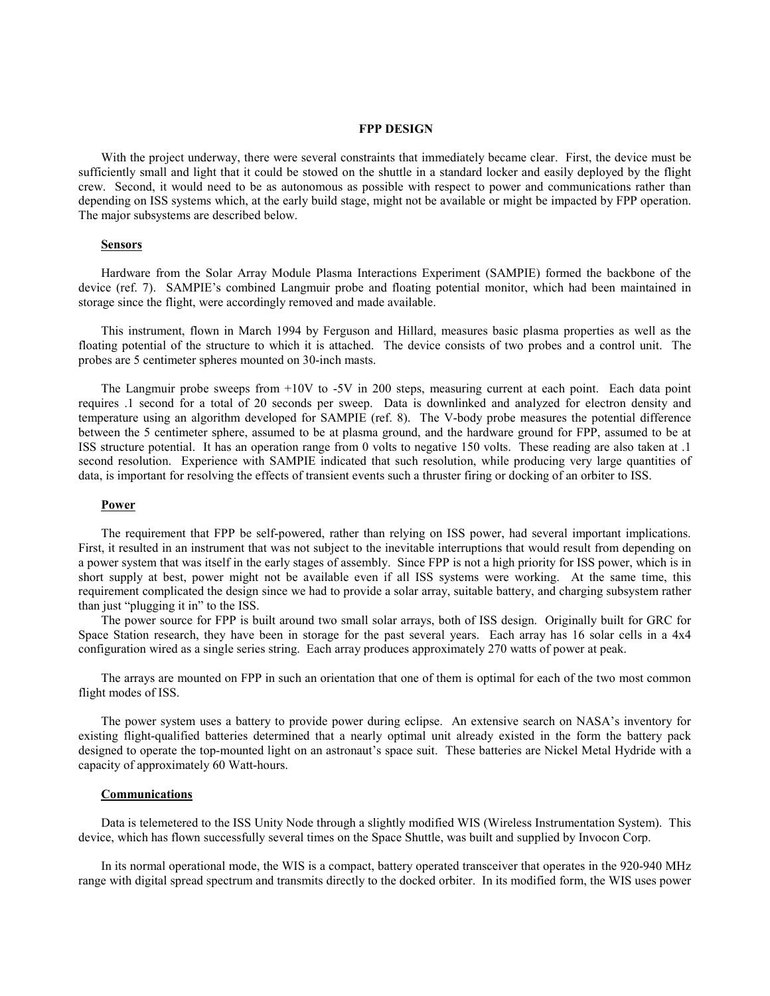#### **FPP DESIGN**

With the project underway, there were several constraints that immediately became clear. First, the device must be sufficiently small and light that it could be stowed on the shuttle in a standard locker and easily deployed by the flight crew. Second, it would need to be as autonomous as possible with respect to power and communications rather than depending on ISS systems which, at the early build stage, might not be available or might be impacted by FPP operation. The major subsystems are described below.

### **Sensors**

Hardware from the Solar Array Module Plasma Interactions Experiment (SAMPIE) formed the backbone of the device (ref. 7). SAMPIE's combined Langmuir probe and floating potential monitor, which had been maintained in storage since the flight, were accordingly removed and made available.

This instrument, flown in March 1994 by Ferguson and Hillard, measures basic plasma properties as well as the floating potential of the structure to which it is attached. The device consists of two probes and a control unit. The probes are 5 centimeter spheres mounted on 30-inch masts.

The Langmuir probe sweeps from  $+10V$  to -5V in 200 steps, measuring current at each point. Each data point requires .1 second for a total of 20 seconds per sweep. Data is downlinked and analyzed for electron density and temperature using an algorithm developed for SAMPIE (ref. 8). The V-body probe measures the potential difference between the 5 centimeter sphere, assumed to be at plasma ground, and the hardware ground for FPP, assumed to be at ISS structure potential. It has an operation range from 0 volts to negative 150 volts. These reading are also taken at .1 second resolution. Experience with SAMPIE indicated that such resolution, while producing very large quantities of data, is important for resolving the effects of transient events such a thruster firing or docking of an orbiter to ISS.

## **Power**

The requirement that FPP be self-powered, rather than relying on ISS power, had several important implications. First, it resulted in an instrument that was not subject to the inevitable interruptions that would result from depending on a power system that was itself in the early stages of assembly. Since FPP is not a high priority for ISS power, which is in short supply at best, power might not be available even if all ISS systems were working. At the same time, this requirement complicated the design since we had to provide a solar array, suitable battery, and charging subsystem rather than just "plugging it in" to the ISS.

The power source for FPP is built around two small solar arrays, both of ISS design. Originally built for GRC for Space Station research, they have been in storage for the past several years. Each array has 16 solar cells in a 4x4 configuration wired as a single series string. Each array produces approximately 270 watts of power at peak.

The arrays are mounted on FPP in such an orientation that one of them is optimal for each of the two most common flight modes of ISS.

The power system uses a battery to provide power during eclipse. An extensive search on NASA's inventory for existing flight-qualified batteries determined that a nearly optimal unit already existed in the form the battery pack designed to operate the top-mounted light on an astronaut's space suit. These batteries are Nickel Metal Hydride with a capacity of approximately 60 Watt-hours.

#### **Communications**

Data is telemetered to the ISS Unity Node through a slightly modified WIS (Wireless Instrumentation System). This device, which has flown successfully several times on the Space Shuttle, was built and supplied by Invocon Corp.

In its normal operational mode, the WIS is a compact, battery operated transceiver that operates in the 920-940 MHz range with digital spread spectrum and transmits directly to the docked orbiter. In its modified form, the WIS uses power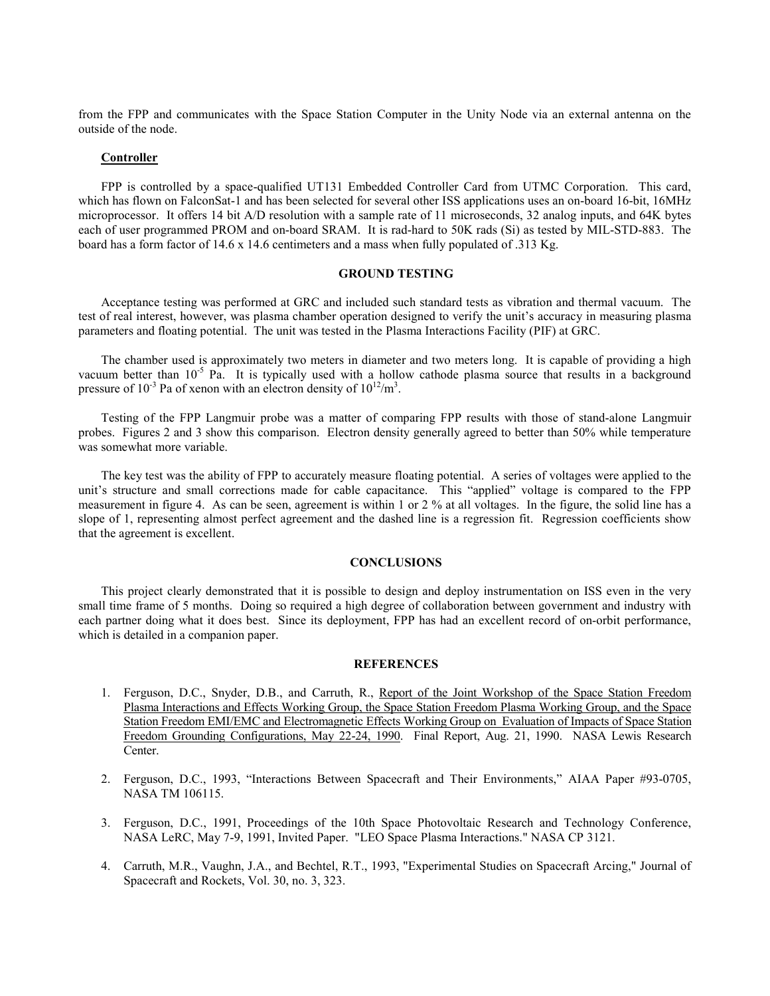from the FPP and communicates with the Space Station Computer in the Unity Node via an external antenna on the outside of the node.

### **Controller**

FPP is controlled by a space-qualified UT131 Embedded Controller Card from UTMC Corporation. This card, which has flown on FalconSat-1 and has been selected for several other ISS applications uses an on-board 16-bit, 16MHz microprocessor. It offers 14 bit A/D resolution with a sample rate of 11 microseconds, 32 analog inputs, and 64K bytes each of user programmed PROM and on-board SRAM. It is rad-hard to 50K rads (Si) as tested by MIL-STD-883. The board has a form factor of 14.6 x 14.6 centimeters and a mass when fully populated of .313 Kg.

### **GROUND TESTING**

Acceptance testing was performed at GRC and included such standard tests as vibration and thermal vacuum. The test of real interest, however, was plasma chamber operation designed to verify the unit's accuracy in measuring plasma parameters and floating potential. The unit was tested in the Plasma Interactions Facility (PIF) at GRC.

The chamber used is approximately two meters in diameter and two meters long. It is capable of providing a high vacuum better than 10<sup>-5</sup> Pa. It is typically used with a hollow cathode plasma source that results in a background pressure of  $10^{-3}$  Pa of xenon with an electron density of  $10^{12}/m^3$ .

Testing of the FPP Langmuir probe was a matter of comparing FPP results with those of stand-alone Langmuir probes. Figures 2 and 3 show this comparison. Electron density generally agreed to better than 50% while temperature was somewhat more variable.

The key test was the ability of FPP to accurately measure floating potential. A series of voltages were applied to the unit's structure and small corrections made for cable capacitance. This "applied" voltage is compared to the FPP measurement in figure 4. As can be seen, agreement is within 1 or 2 % at all voltages. In the figure, the solid line has a slope of 1, representing almost perfect agreement and the dashed line is a regression fit. Regression coefficients show that the agreement is excellent.

## **CONCLUSIONS**

This project clearly demonstrated that it is possible to design and deploy instrumentation on ISS even in the very small time frame of 5 months. Doing so required a high degree of collaboration between government and industry with each partner doing what it does best. Since its deployment, FPP has had an excellent record of on-orbit performance, which is detailed in a companion paper.

## **REFERENCES**

- 1. Ferguson, D.C., Snyder, D.B., and Carruth, R., Report of the Joint Workshop of the Space Station Freedom Plasma Interactions and Effects Working Group, the Space Station Freedom Plasma Working Group, and the Space Station Freedom EMI/EMC and Electromagnetic Effects Working Group on Evaluation of Impacts of Space Station Freedom Grounding Configurations, May 22-24, 1990. Final Report, Aug. 21, 1990. NASA Lewis Research Center.
- 2. Ferguson, D.C., 1993, "Interactions Between Spacecraft and Their Environments," AIAA Paper #93-0705, NASA TM 106115.
- 3. Ferguson, D.C., 1991, Proceedings of the 10th Space Photovoltaic Research and Technology Conference, NASA LeRC, May 7-9, 1991, Invited Paper. "LEO Space Plasma Interactions." NASA CP 3121.
- 4. Carruth, M.R., Vaughn, J.A., and Bechtel, R.T., 1993, "Experimental Studies on Spacecraft Arcing," Journal of Spacecraft and Rockets, Vol. 30, no. 3, 323.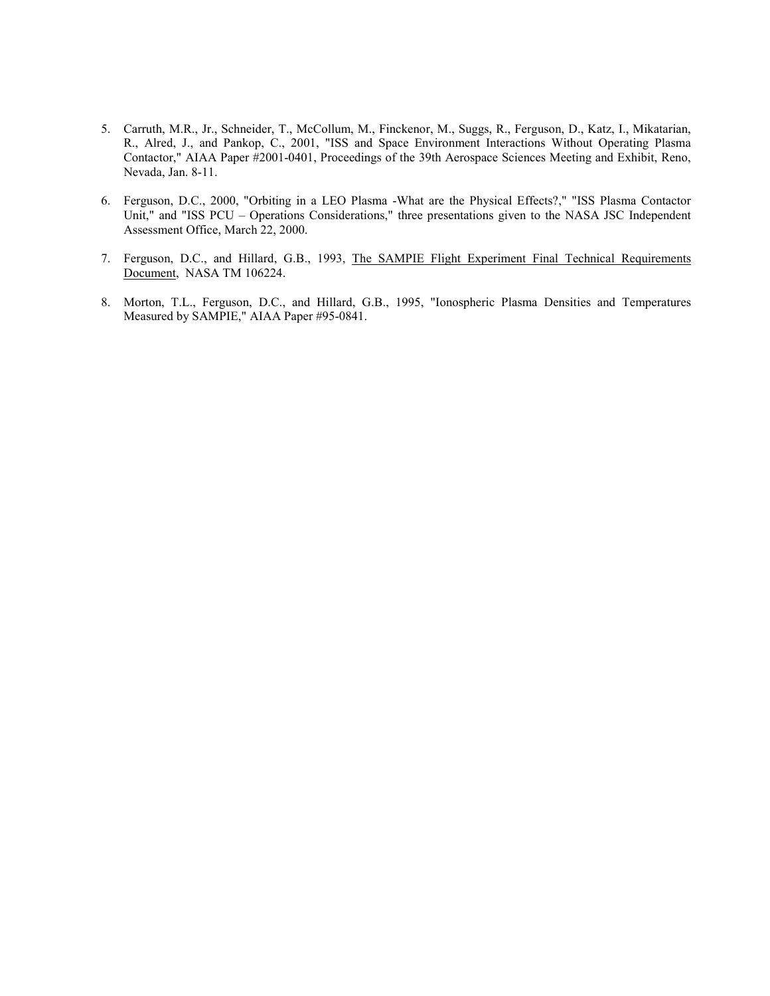- 5. Carruth, M.R., Jr., Schneider, T., McCollum, M., Finckenor, M., Suggs, R., Ferguson, D., Katz, I., Mikatarian, R., Alred, J., and Pankop, C., 2001, "ISS and Space Environment Interactions Without Operating Plasma Contactor," AIAA Paper #2001-0401, Proceedings of the 39th Aerospace Sciences Meeting and Exhibit, Reno, Nevada, Jan. 8-11.
- 6. Ferguson, D.C., 2000, "Orbiting in a LEO Plasma -What are the Physical Effects?," "ISS Plasma Contactor Unit," and "ISS PCU – Operations Considerations," three presentations given to the NASA JSC Independent Assessment Office, March 22, 2000.
- 7. Ferguson, D.C., and Hillard, G.B., 1993, The SAMPIE Flight Experiment Final Technical Requirements Document, NASA TM 106224.
- 8. Morton, T.L., Ferguson, D.C., and Hillard, G.B., 1995, "Ionospheric Plasma Densities and Temperatures Measured by SAMPIE," AIAA Paper #95-0841.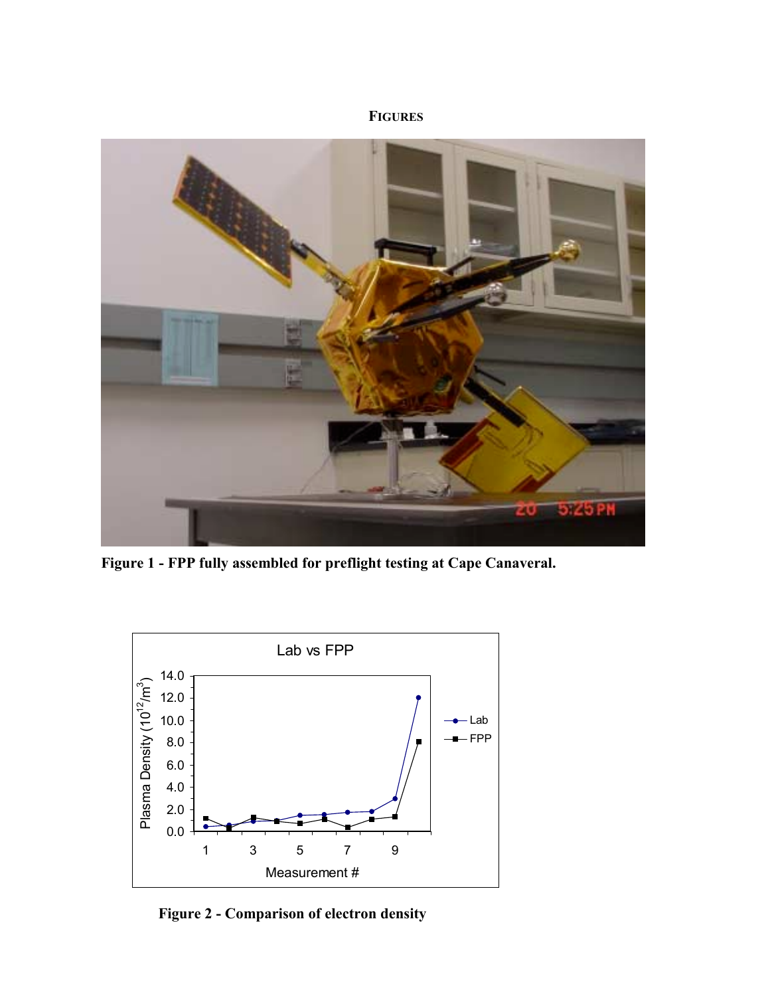# **FIGURES**



**Figure 1 - FPP fully assembled for preflight testing at Cape Canaveral.**



**Figure 2 - Comparison of electron density**